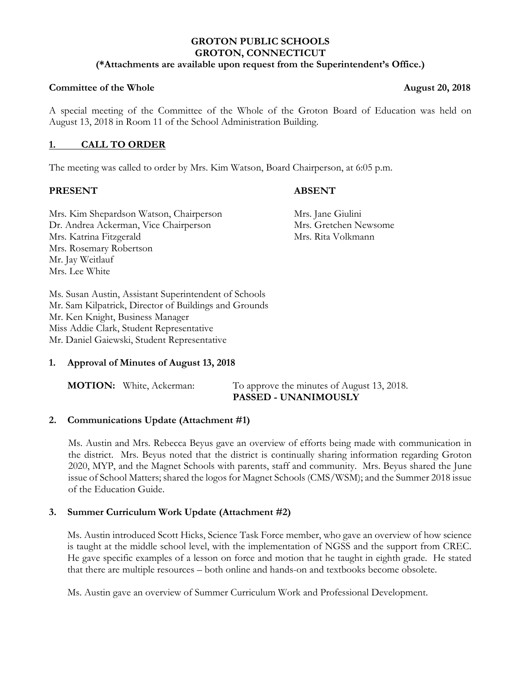# **GROTON PUBLIC SCHOOLS GROTON, CONNECTICUT**

## **(\*Attachments are available upon request from the Superintendent's Office.)**

## **Committee of the Whole 2018 Committee of the Whole August 20, 2018**

A special meeting of the Committee of the Whole of the Groton Board of Education was held on August 13, 2018 in Room 11 of the School Administration Building.

# **1. CALL TO ORDER**

The meeting was called to order by Mrs. Kim Watson, Board Chairperson, at 6:05 p.m.

### **PRESENT ABSENT**

Mrs. Kim Shepardson Watson, Chairperson Mrs. Jane Giulini Dr. Andrea Ackerman, Vice Chairperson Mrs. Gretchen Newsome Mrs. Katrina Fitzgerald Mrs. Rita Volkmann Mrs. Rosemary Robertson Mr. Jay Weitlauf Mrs. Lee White

Ms. Susan Austin, Assistant Superintendent of Schools Mr. Sam Kilpatrick, Director of Buildings and Grounds Mr. Ken Knight, Business Manager Miss Addie Clark, Student Representative Mr. Daniel Gaiewski, Student Representative

# **1. Approval of Minutes of August 13, 2018**

| <b>MOTION:</b> White, Ackerman: |
|---------------------------------|
|                                 |

To approve the minutes of August 13, 2018.  **PASSED - UNANIMOUSLY**

# **2. Communications Update (Attachment #1)**

Ms. Austin and Mrs. Rebecca Beyus gave an overview of efforts being made with communication in the district. Mrs. Beyus noted that the district is continually sharing information regarding Groton 2020, MYP, and the Magnet Schools with parents, staff and community. Mrs. Beyus shared the June issue of School Matters; shared the logos for Magnet Schools (CMS/WSM); and the Summer 2018 issue of the Education Guide.

# **3. Summer Curriculum Work Update (Attachment #2)**

Ms. Austin introduced Scott Hicks, Science Task Force member, who gave an overview of how science is taught at the middle school level, with the implementation of NGSS and the support from CREC. He gave specific examples of a lesson on force and motion that he taught in eighth grade. He stated that there are multiple resources – both online and hands-on and textbooks become obsolete.

Ms. Austin gave an overview of Summer Curriculum Work and Professional Development.